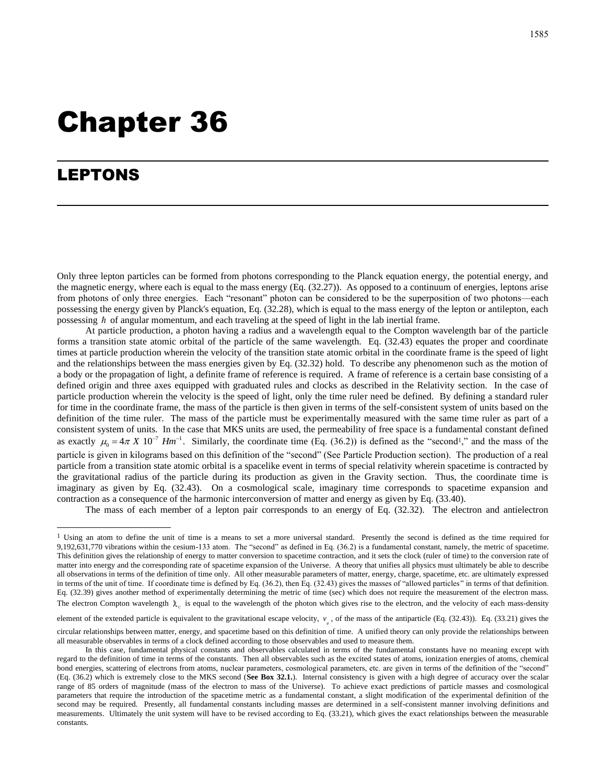# Chapter 36

## LEPTONS

Only three lepton particles can be formed from photons corresponding to the Planck equation energy, the potential energy, and the magnetic energy, where each is equal to the mass energy (Eq. (32.27)). As opposed to a continuum of energies, leptons arise from photons of only three energies. Each "resonant" photon can be considered to be the superposition of two photons—each possessing the energy given by Planck's equation, Eq. (32.28), which is equal to the mass energy of the lepton or antilepton, each possessing  $\hbar$  of angular momentum, and each traveling at the speed of light in the lab inertial frame.

At particle production, a photon having a radius and a wavelength equal to the Compton wavelength bar of the particle forms a transition state atomic orbital of the particle of the same wavelength. Eq. (32.43) equates the proper and coordinate times at particle production wherein the velocity of the transition state atomic orbital in the coordinate frame is the speed of light and the relationships between the mass energies given by Eq. (32.32) hold. To describe any phenomenon such as the motion of a body or the propagation of light, a definite frame of reference is required. A frame of reference is a certain base consisting of a defined origin and three axes equipped with graduated rules and clocks as described in the Relativity section. In the case of particle production wherein the velocity is the speed of light, only the time ruler need be defined. By defining a standard ruler for time in the coordinate frame, the mass of the particle is then given in terms of the self-consistent system of units based on the definition of the time ruler. The mass of the particle must be experimentally measured with the same time ruler as part of a consistent system of units. In the case that MKS units are used, the permeability of free space is a fundamental constant defined as exactly  $\mu_0 = 4\pi X 10^{-7} Hm^{-1}$ . Similarly, the coordinate time (Eq. (36.2)) is defined as the "second<sup>1</sup>," and the mass of the particle is given in kilograms based on this definition of the "second" (See Particle Production section). The production of a real particle from a transition state atomic orbital is a spacelike event in terms of special relativity wherein spacetime is contracted by the gravitational radius of the particle during its production as given in the Gravity section. Thus, the coordinate time is imaginary as given by Eq. (32.43). On a cosmological scale, imaginary time corresponds to spacetime expansion and contraction as a consequence of the harmonic interconversion of matter and energy as given by Eq. (33.40).

The mass of each member of a lepton pair corresponds to an energy of Eq. (32.32). The electron and antielectron

element of the extended particle is equivalent to the gravitational escape velocity,  $v_{\rm g}$ , of the mass of the antiparticle (Eq. (32.43)). Eq. (33.21) gives the circular relationships between matter, energy, and spacetime based on this definition of time. A unified theory can only provide the relationships between all measurable observables in terms of a clock defined according to those observables and used to measure them.

<sup>&</sup>lt;sup>1</sup> Using an atom to define the unit of time is a means to set a more universal standard. Presently the second is defined as the time required for 9,192,631,770 vibrations within the cesium-133 atom. The "second" as defined in Eq. (36.2) is a fundamental constant, namely, the metric of spacetime. This definition gives the relationship of energy to matter conversion to spacetime contraction, and it sets the clock (ruler of time) to the conversion rate of matter into energy and the corresponding rate of spacetime expansion of the Universe. A theory that unifies all physics must ultimately be able to describe all observations in terms of the definition of time only. All other measurable parameters of matter, energy, charge, spacetime, etc. are ultimately expressed in terms of the unit of time. If coordinate time is defined by Eq. (36.2), then Eq. (32.43) gives the masses of "allowed particles" in terms of that definition. Eq. (32.39) gives another method of experimentally determining the metric of time (sec) which does not require the measurement of the electron mass. The electron Compton wavelength  $\lambda_c$  is equal to the wavelength of the photon which gives rise to the electron, and the velocity of each mass-density

In this case, fundamental physical constants and observables calculated in terms of the fundamental constants have no meaning except with regard to the definition of time in terms of the constants. Then all observables such as the excited states of atoms, ionization energies of atoms, chemical bond energies, scattering of electrons from atoms, nuclear parameters, cosmological parameters, etc. are given in terms of the definition of the "second" (Eq. (36.2) which is extremely close to the MKS second (**See Box 32.1.**). Internal consistency is given with a high degree of accuracy over the scalar range of 85 orders of magnitude (mass of the electron to mass of the Universe). To achieve exact predictions of particle masses and cosmological parameters that require the introduction of the spacetime metric as a fundamental constant, a slight modification of the experimental definition of the second may be required. Presently, all fundamental constants including masses are determined in a self-consistent manner involving definitions and measurements. Ultimately the unit system will have to be revised according to Eq. (33.21), which gives the exact relationships between the measurable constants.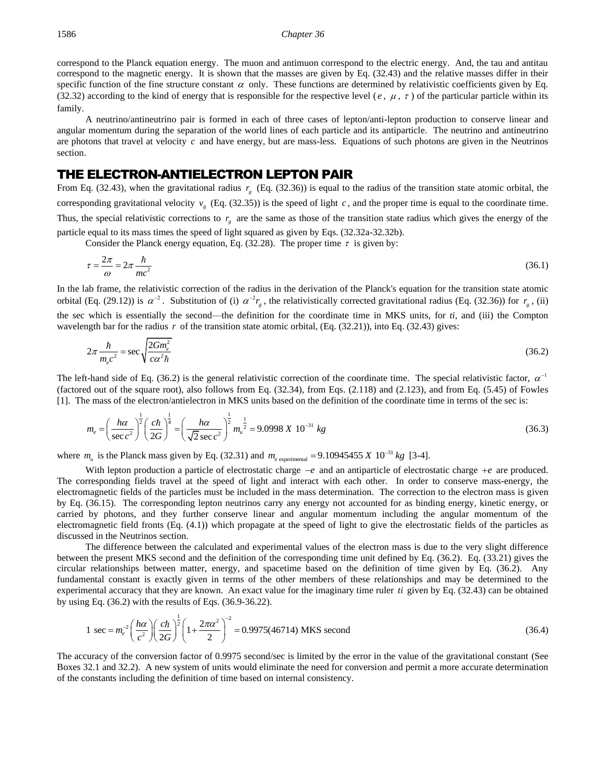#### 1586 *Chapter 36*

correspond to the Planck equation energy. The muon and antimuon correspond to the electric energy. And, the tau and antitau correspond to the magnetic energy. It is shown that the masses are given by Eq. (32.43) and the relative masses differ in their specific function of the fine structure constant  $\alpha$  only. These functions are determined by relativistic coefficients given by Eq. (32.32) according to the kind of energy that is responsible for the respective level ( $e, \mu, \tau$ ) of the particular particle within its family.

A neutrino/antineutrino pair is formed in each of three cases of lepton/anti-lepton production to conserve linear and angular momentum during the separation of the world lines of each particle and its antiparticle. The neutrino and antineutrino are photons that travel at velocity c and have energy, but are mass-less. Equations of such photons are given in the Neutrinos section.

## THE ELECTRON-ANTIELECTRON LEPTON PAIR

From Eq. (32.43), when the gravitational radius  $r<sub>g</sub>$  (Eq. (32.36)) is equal to the radius of the transition state atomic orbital, the corresponding gravitational velocity  $v_g$  (Eq. (32.35)) is the speed of light c, and the proper time is equal to the coordinate time. Thus, the special relativistic corrections to  $r<sub>g</sub>$  are the same as those of the transition state radius which gives the energy of the particle equal to its mass times the speed of light squared as given by Eqs. (32.32a-32.32b).

Consider the Planck energy equation, Eq. (32.28). The proper time  $\tau$  is given by:

$$
\tau = \frac{2\pi}{\omega} = 2\pi \frac{\hbar}{mc^2} \tag{36.1}
$$

In the lab frame, the relativistic correction of the radius in the derivation of the Planck's equation for the transition state atomic orbital (Eq. (29.12)) is  $\alpha^{-2}$ . Substitution of (i)  $\alpha^{-2}r_g$ , the relativistically corrected gravitational radius (Eq. (32.36)) for  $r_g$ , (ii) the sec which is essentially the second—the definition for the coordinate time in MKS units, for *ti*, and (iii) the Compton wavelength bar for the radius  $r$  of the transition state atomic orbital, (Eq.  $(32.21)$ ), into Eq.  $(32.43)$  gives:

$$
2\pi \frac{\hbar}{m_e c^2} = \sec \sqrt{\frac{2Gm_e^2}{c\alpha^2 \hbar}}
$$
(36.2)

The left-hand side of Eq. (36.2) is the general relativistic correction of the coordinate time. The special relativistic factor,  $\alpha^{-1}$ (factored out of the square root), also follows from Eq. (32.34), from Eqs. (2.118) and (2.123), and from Eq. (5.45) of Fowles

[1]. The mass of the electron/antielectron in MKS units based on the definition of the coordinate time in terms of the sec is:  
\n
$$
m_e = \left(\frac{h\alpha}{\sec c^2}\right)^{\frac{1}{2}} \left(\frac{c\hbar}{2G}\right)^{\frac{1}{4}} = \left(\frac{h\alpha}{\sqrt{2}\sec c^2}\right)^{\frac{1}{2}} m_u^{\frac{1}{2}} = 9.0998 \text{ X } 10^{-31} \text{ kg}
$$
\n(36.3)

where  $m_u$  is the Planck mass given by Eq. (32.31) and  $m_e$  experimental = 9.10945455 X 10<sup>-31</sup>  $m_{e\text{ experimental}} = 9.10945455 \ X\ 10^{-31} \ kg$  $= 9.10945455 X 10^{-31} kg$  [3-4].

With lepton production a particle of electrostatic charge −*e* and an antiparticle of electrostatic charge +*e* are produced. The corresponding fields travel at the speed of light and interact with each other. In order to conserve mass-energy, the electromagnetic fields of the particles must be included in the mass determination. The correction to the electron mass is given by Eq. (36.15). The corresponding lepton neutrinos carry any energy not accounted for as binding energy, kinetic energy, or carried by photons, and they further conserve linear and angular momentum including the angular momentum of the electromagnetic field fronts (Eq. (4.1)) which propagate at the speed of light to give the electrostatic fields of the particles as discussed in the Neutrinos section.

The difference between the calculated and experimental values of the electron mass is due to the very slight difference between the present MKS second and the definition of the corresponding time unit defined by Eq. (36.2). Eq. (33.21) gives the circular relationships between matter, energy, and spacetime based on the definition of time given by Eq. (36.2). Any fundamental constant is exactly given in terms of the other members of these relationships and may be determined to the experimental accuracy that they are known. An exact value for the imaginary time ruler *ti* given by Eq. (32.43) can be obtained

experimental accuracy that they are known. An exact value for the imaginary time ruler *ti* given by Eq. (32.43) can be obtained  
by using Eq. (36.2) with the results of Eqs. (36.9-36.22).  

$$
1 \sec = m_e^{-2} \left(\frac{h\alpha}{c^2}\right) \left(\frac{c\hbar}{2G}\right)^{\frac{1}{2}} \left(1 + \frac{2\pi\alpha^2}{2}\right)^{-2} = 0.9975(46714) \text{ MKS second}
$$
(36.4)

The accuracy of the conversion factor of 0.9975 second/sec is limited by the error in the value of the gravitational constant (See Boxes 32.1 and 32.2). A new system of units would eliminate the need for conversion and permit a more accurate determination of the constants including the definition of time based on internal consistency.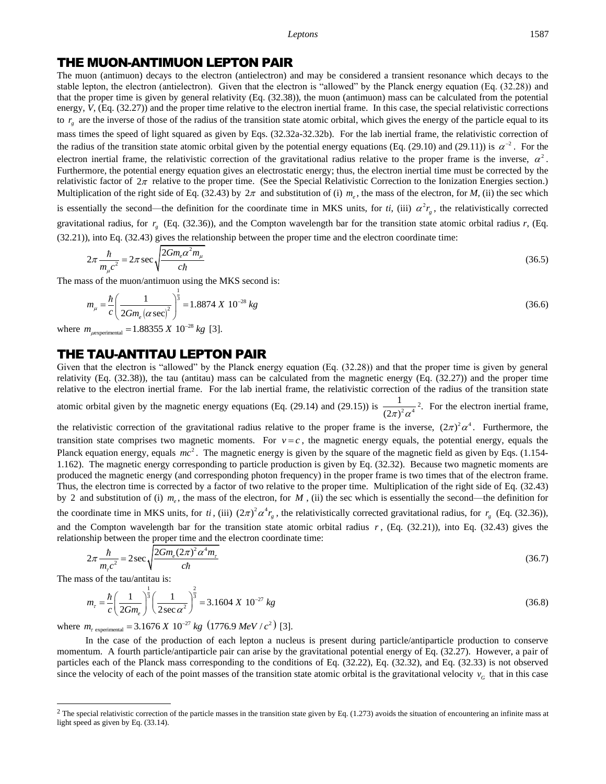#### *Leptons* 1587

#### THE MUON-ANTIMUON LEPTON PAIR

The muon (antimuon) decays to the electron (antielectron) and may be considered a transient resonance which decays to the stable lepton, the electron (antielectron). Given that the electron is "allowed" by the Planck energy equation (Eq. (32.28)) and that the proper time is given by general relativity (Eq. (32.38)), the muon (antimuon) mass can be calculated from the potential energy, *V*, (Eq. (32.27)) and the proper time relative to the electron inertial frame. In this case, the special relativistic corrections to  $r<sub>g</sub>$  are the inverse of those of the radius of the transition state atomic orbital, which gives the energy of the particle equal to its mass times the speed of light squared as given by Eqs. (32.32a-32.32b). For the lab inertial frame, the relativistic correction of the radius of the transition state atomic orbital given by the potential energy equations (Eq. (29.10) and (29.11)) is  $\alpha^{-2}$ . For the electron inertial frame, the relativistic correction of the gravitational radius relative to the proper frame is the inverse,  $\alpha^2$ . Furthermore, the potential energy equation gives an electrostatic energy; thus, the electron inertial time must be corrected by the relativistic factor of  $2\pi$  relative to the proper time. (See the Special Relativistic Correction to the Ionization Energies section.) Multiplication of the right side of Eq. (32.43) by  $2\pi$  and substitution of (i)  $m_e$ , the mass of the electron, for *M*, (ii) the sec which is essentially the second—the definition for the coordinate time in MKS units, for *ti*, (iii)  $\alpha^2 r_g$ , the relativistically corrected gravitational radius, for  $r<sub>g</sub>$  (Eq. (32.36)), and the Compton wavelength bar for the transition state atomic orbital radius  $r$ , (Eq.

(32.21)), into Eq. (32.43) gives the relationship between the proper time and the electron coordinate time:  
\n
$$
2\pi \frac{\hbar}{m_{\mu}c^2} = 2\pi \sec \sqrt{\frac{2Gm_e\alpha^2m_{\mu}}{c\hbar}}
$$
\n(36.5)

The mass of the muon/antimuon using the MKS second is:

the muon/antimuon using the MKS second is:

\n
$$
m_{\mu} = \frac{\hbar}{c} \left( \frac{1}{2Gm_{e} (\alpha \sec)^{2}} \right)^{\frac{1}{3}} = 1.8874 \times 10^{-28} \text{ kg}
$$
\n
$$
m_{\mu \text{experimental}} = 1.88355 \times 10^{-28} \text{ kg} \quad [3].
$$
\n(36.6)

where  $m_{\text{rexnerimal}} = 1.88355 X 10^{-28}$  $= 1.88355 X 10^{-28} kg$  [3].

## THE TAU-ANTITAU LEPTON PAIR

Given that the electron is "allowed" by the Planck energy equation (Eq. (32.28)) and that the proper time is given by general relativity (Eq. (32.38)), the tau (antitau) mass can be calculated from the magnetic energy (Eq. (32.27)) and the proper time relative to the electron inertial frame. For the lab inertial frame, the relativistic correction of the radius of the transition state atomic orbital given by the magnetic energy equations (Eq. (29.14) and (29.15)) is  $\frac{1}{(2\pi)^2 \alpha^4}$ 1  $(2\pi)^2 \alpha$ <sup>2</sup>. For the electron inertial frame,

the relativistic correction of the gravitational radius relative to the proper frame is the inverse,  $(2\pi)^2 \alpha^4$ . Furthermore, the transition state comprises two magnetic moments. For  $v = c$ , the magnetic energy equals, the potential energy, equals the Planck equation energy, equals  $mc^2$ . The magnetic energy is given by the square of the magnetic field as given by Eqs. (1.154-1.162). The magnetic energy corresponding to particle production is given by Eq. (32.32). Because two magnetic moments are produced the magnetic energy (and corresponding photon frequency) in the proper frame is two times that of the electron frame. Thus, the electron time is corrected by a factor of two relative to the proper time. Multiplication of the right side of Eq. (32.43) by 2 and substitution of (i)  $m_e$ , the mass of the electron, for M, (ii) the sec which is essentially the second—the definition for the coordinate time in MKS units, for *ti*, (iii)  $(2\pi)^2 \alpha^4 r_g$ , the relativistically corrected gravitational radius, for  $r_g$  (Eq. (32.36)), and the Compton wavelength bar for the transition state atomic orbital radius  $r$ , (Eq.  $(32.21)$ ), into Eq.  $(32.43)$  gives the relationship between the proper time and the electron coordinate time:

$$
2\pi \frac{\hbar}{m_{\tau}c^2} = 2\sec\sqrt{\frac{2Gm_e(2\pi)^2 \alpha^4 m_{\tau}}{c\hbar}}
$$
(36.7)

The mass of the tau/antitau is:  
\n
$$
m_{\tau} = \frac{\hbar}{c} \left( \frac{1}{2Gm_{e}} \right)^{\frac{1}{3}} \left( \frac{1}{2\sec \alpha^{2}} \right)^{\frac{2}{3}} = 3.1604 \text{ X } 10^{-27} \text{ kg}
$$
\n(36.8)  
\nwhere  $m_{\tau \text{ experimental}} = 3.1676 \text{ X } 10^{-27} \text{ kg } (1776.9 \text{ MeV}/c^{2})$  [3].

 $=$  3.1676 X 10<sup>-27</sup> kg (1776.9 MeV /  $c^2$ ) [3].

In the case of the production of each lepton a nucleus is present during particle/antiparticle production to conserve momentum. A fourth particle/antiparticle pair can arise by the gravitational potential energy of Eq. (32.27). However, a pair of particles each of the Planck mass corresponding to the conditions of Eq. (32.22), Eq. (32.32), and Eq. (32.33) is not observed since the velocity of each of the point masses of the transition state atomic orbital is the gravitational velocity  $v<sub>G</sub>$  that in this case

 $2$  The special relativistic correction of the particle masses in the transition state given by Eq. (1.273) avoids the situation of encountering an infinite mass at light speed as given by Eq. (33.14).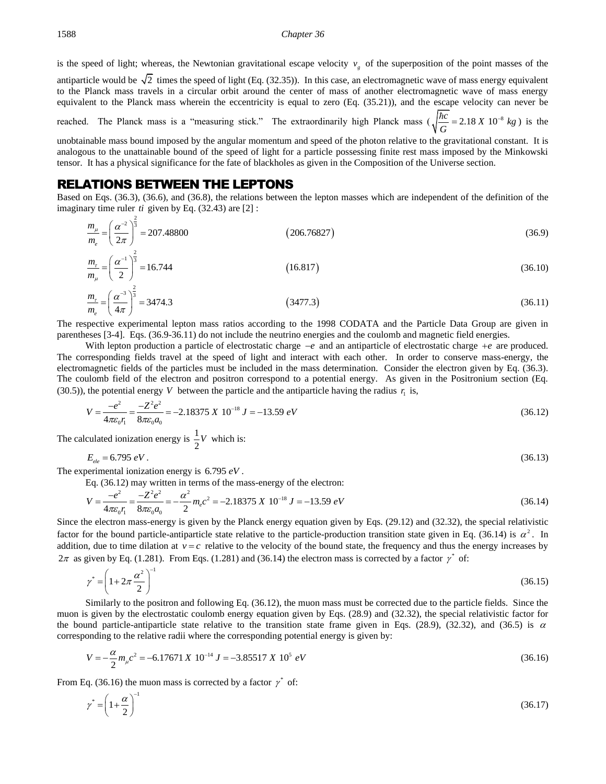is the speed of light; whereas, the Newtonian gravitational escape velocity  $v<sub>g</sub>$  of the superposition of the point masses of the

antiparticle would be  $\sqrt{2}$  times the speed of light (Eq. (32.35)). In this case, an electromagnetic wave of mass energy equivalent to the Planck mass travels in a circular orbit around the center of mass of another electromagnetic wave of mass energy equivalent to the Planck mass wherein the eccentricity is equal to zero (Eq. (35.21)), and the escape velocity can never be reached. The Planck mass is a "measuring stick." The extraordinarily high Planck mass  $\left(\sqrt{\frac{\hbar c}{G}}\right) = 2.18 X 10^{-8} kg$ *G*  $= 2.18 X 10^{-8} kg$ ) is the

unobtainable mass bound imposed by the angular momentum and speed of the photon relative to the gravitational constant. It is analogous to the unattainable bound of the speed of light for a particle possessing finite rest mass imposed by the Minkowski tensor. It has a physical significance for the fate of blackholes as given in the Composition of the Universe section.

### RELATIONS BETWEEN THE LEPTONS

Based on Eqs. (36.3), (36.6), and (36.8), the relations between the lepton masses which are independent of the definition of the imaginary time ruler *ti* given by Eq. (32.43) are [2] :

$$
\frac{m_{\mu}}{m_{e}} = \left(\frac{\alpha^{-2}}{2\pi}\right)^{\frac{2}{3}} = 207.48800
$$
\n(206.76827)

$$
\frac{m_{\tau}}{m_{\mu}} = \left(\frac{\alpha^{-1}}{2}\right)^{\frac{2}{3}} = 16.744\tag{36.10}
$$

$$
\frac{m_r}{m_e} = \left(\frac{\alpha^{-3}}{4\pi}\right)^{\frac{2}{3}} = 3474.3\tag{36.11}
$$

The respective experimental lepton mass ratios according to the 1998 CODATA and the Particle Data Group are given in parentheses [3-4]. Eqs. (36.9-36.11) do not include the neutrino energies and the coulomb and magnetic field energies.

With lepton production a particle of electrostatic charge −*e* and an antiparticle of electrostatic charge +*e* are produced. The corresponding fields travel at the speed of light and interact with each other. In order to conserve mass-energy, the electromagnetic fields of the particles must be included in the mass determination. Consider the electron given by Eq. (36.3). The coulomb field of the electron and positron correspond to a potential energy. As given in the Positronium section (Eq.

The coquomb field of the electron and positron corresponding to a potential energy. As given in the Postuonium section (Eq. (30.5)), the potential energy V between the particle and the antiparticle having the radius 
$$
r_1
$$
 is,  
\n
$$
V = \frac{-e^2}{4\pi\varepsilon_0 r_1} = \frac{-Z^2 e^2}{8\pi\varepsilon_0 a_0} = -2.18375 \times 10^{-18} \text{ J} = -13.59 \text{ eV}
$$
\n(36.12)

The calculated ionization energy is  $\frac{1}{2}$ 2 *V* which is:

$$
E_{ele} = 6.795 \, \text{eV} \,. \tag{36.13}
$$

The experimental ionization energy is 6.795 *eV* .

perimental ionization energy is 6.795 eV.  
\nEq. (36.12) may written in terms of the mass-energy of the electron:  
\n
$$
V = \frac{-e^2}{4\pi\varepsilon_0 r_1} = \frac{-Z^2 e^2}{8\pi\varepsilon_0 a_0} = -\frac{\alpha^2}{2} m_e c^2 = -2.18375 X 10^{-18} J = -13.59 eV
$$
\n(36.14)

Since the electron mass-energy is given by the Planck energy equation given by Eqs. (29.12) and (32.32), the special relativistic factor for the bound particle-antiparticle state relative to the particle-production transition state given in Eq. (36.14) is  $\alpha^2$ . In addition, due to time dilation at  $v = c$  relative to the velocity of the bound state, the frequency and thus the energy increases by  $2\pi$  as given by Eq. (1.281). From Eqs. (1.281) and (36.14) the electron mass is corrected by a factor  $\gamma^*$  of:

$$
\gamma^* = \left(1 + 2\pi \frac{\alpha^2}{2}\right)^{-1} \tag{36.15}
$$

Similarly to the positron and following Eq. (36.12), the muon mass must be corrected due to the particle fields. Since the muon is given by the electrostatic coulomb energy equation given by Eqs. (28.9) and (32.32), the special relativistic factor for the bound particle-antiparticle state relative to the transition state frame given in Eqs. (28.9), (32.32), and (36.5) is  $\alpha$ 

corresponding to the relative radii where the corresponding potential energy is given by:  
\n
$$
V = -\frac{\alpha}{2} m_{\mu} c^2 = -6.17671 X 10^{-14} J = -3.85517 X 10^5 eV
$$
\n(36.16)

From Eq. (36.16) the muon mass is corrected by a factor  $\gamma^*$  of:

$$
\gamma^* = \left(1 + \frac{\alpha}{2}\right)^{-1} \tag{36.17}
$$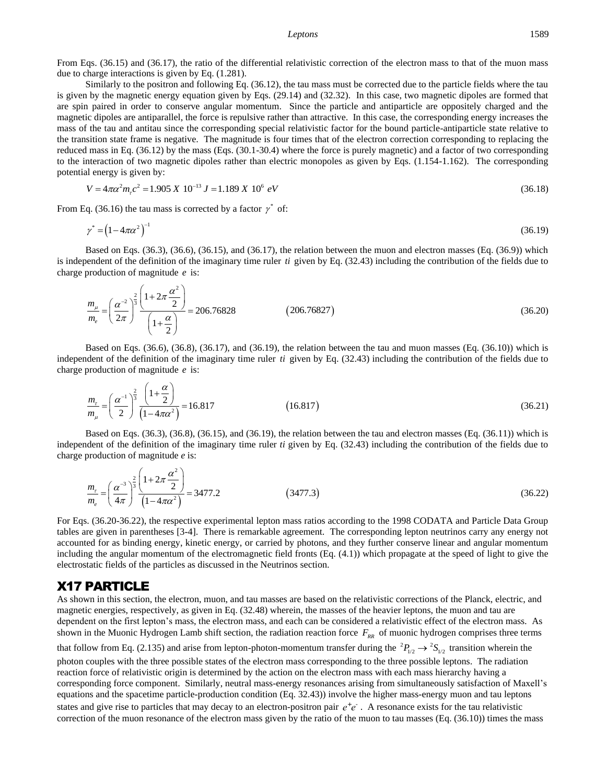#### *Leptons* 1589

From Eqs. (36.15) and (36.17), the ratio of the differential relativistic correction of the electron mass to that of the muon mass due to charge interactions is given by Eq. (1.281).

Similarly to the positron and following Eq. (36.12), the tau mass must be corrected due to the particle fields where the tau is given by the magnetic energy equation given by Eqs. (29.14) and (32.32). In this case, two magnetic dipoles are formed that are spin paired in order to conserve angular momentum. Since the particle and antiparticle are oppositely charged and the magnetic dipoles are antiparallel, the force is repulsive rather than attractive. In this case, the corresponding energy increases the mass of the tau and antitau since the corresponding special relativistic factor for the bound particle-antiparticle state relative to the transition state frame is negative. The magnitude is four times that of the electron correction corresponding to replacing the reduced mass in Eq. (36.12) by the mass (Eqs. (30.1-30.4) where the force is purely magnetic) and a factor of two corresponding to the interaction of two magnetic dipoles rather than electric monopoles as given by Eqs. (1.154-1.162). The corresponding potential energy is given by:<br>  $V = 4\pi\alpha^2 m_r c^2 = 1.905 \times 10^{-13} J = 1.189 \times 10^6 eV$ 

$$
V = 4\pi\alpha^2 m_r c^2 = 1.905 \, X \, 10^{-13} \, J = 1.189 \, X \, 10^6 \, eV \tag{36.18}
$$

From Eq. (36.16) the tau mass is corrected by a factor  $\gamma^*$  of:

$$
\gamma^* = (1 - 4\pi\alpha^2)^{-1} \tag{36.19}
$$

Based on Eqs. (36.3), (36.6), (36.15), and (36.17), the relation between the muon and electron masses (Eq. (36.9)) which is independent of the definition of the imaginary time ruler *ti* given by Eq. (32.43) including the contribution of the fields due to

charge production of magnitude *e* is:  
\n
$$
\frac{m_{\mu}}{m_{e}} = \left(\frac{\alpha^{-2}}{2\pi}\right)^{\frac{2}{3}} \frac{\left(1 + 2\pi \frac{\alpha^{2}}{2}\right)}{\left(1 + \frac{\alpha}{2}\right)} = 206.76828
$$
\n(206.76827)

Based on Eqs. (36.6), (36.8), (36.17), and (36.19), the relation between the tau and muon masses (Eq. (36.10)) which is independent of the definition of the imaginary time ruler *ti* given by Eq. (32.43) including the contribution of the fields due to charge production of magnitude *e* is:

$$
\frac{m_r}{m_\mu} = \left(\frac{\alpha^{-1}}{2}\right)^{\frac{2}{3}} \frac{\left(1+\frac{\alpha}{2}\right)}{\left(1-4\pi\alpha^2\right)} = 16.817\tag{36.21}
$$

Based on Eqs. (36.3), (36.8), (36.15), and (36.19), the relation between the tau and electron masses (Eq. (36.11)) which is independent of the definition of the imaginary time ruler *ti* given by Eq. (32.43) including the contribution of the fields due to charge production of magnitude *e* is:

$$
\frac{m_{\tau}}{m_{e}} = \left(\frac{\alpha^{-3}}{4\pi}\right)^{\frac{2}{3}} \frac{\left(1 + 2\pi \frac{\alpha^{2}}{2}\right)}{\left(1 - 4\pi\alpha^{2}\right)} = 3477.2
$$
\n(3477.3)

For Eqs. (36.20-36.22), the respective experimental lepton mass ratios according to the 1998 CODATA and Particle Data Group tables are given in parentheses [3-4]. There is remarkable agreement. The corresponding lepton neutrinos carry any energy not accounted for as binding energy, kinetic energy, or carried by photons, and they further conserve linear and angular momentum including the angular momentum of the electromagnetic field fronts (Eq. (4.1)) which propagate at the speed of light to give the electrostatic fields of the particles as discussed in the Neutrinos section.

## X17 PARTICLE

As shown in this section, the electron, muon, and tau masses are based on the relativistic corrections of the Planck, electric, and magnetic energies, respectively, as given in Eq. (32.48) wherein, the masses of the heavier leptons, the muon and tau are dependent on the first lepton's mass, the electron mass, and each can be considered a relativistic effect of the electron mass. As shown in the Muonic Hydrogen Lamb shift section, the radiation reaction force  $F_{RR}$  of muonic hydrogen comprises three terms that follow from Eq. (2.135) and arise from lepton-photon-momentum transfer during the  ${}^2P_{1/2} \rightarrow {}^2S_{1/2}$  transition wherein the photon couples with the three possible states of the electron mass corresponding to the three possible leptons. The radiation reaction force of relativistic origin is determined by the action on the electron mass with each mass hierarchy having a corresponding force component. Similarly, neutral mass-energy resonances arising from simultaneously satisfaction of Maxell's

equations and the spacetime particle-production condition (Eq. 32.43)) involve the higher mass-energy muon and tau leptons states and give rise to particles that may decay to an electron-positron pair  $e^+e^-$ . A resonance exists for the tau relativistic correction of the muon resonance of the electron mass given by the ratio of the muon to tau masses (Eq. (36.10)) times the mass